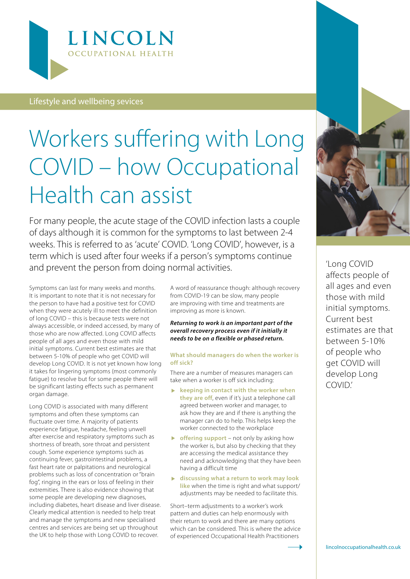

### Lifestyle and wellbeing sevices

# Workers suffering with Long COVID – how Occupational Health can assist

For many people, the acute stage of the COVID infection lasts a couple of days although it is common for the symptoms to last between 2-4 weeks. This is referred to as 'acute' COVID. 'Long COVID', however, is a term which is used after four weeks if a person's symptoms continue and prevent the person from doing normal activities.

Symptoms can last for many weeks and months. It is important to note that it is not necessary for the person to have had a positive test for COVID when they were acutely ill to meet the definition of long COVID – this is because tests were not always accessible, or indeed accessed, by many of those who are now affected. Long COVID affects people of all ages and even those with mild initial symptoms. Current best estimates are that between 5-10% of people who get COVID will develop Long COVID. It is not yet known how long it takes for lingering symptoms (most commonly fatigue) to resolve but for some people there will be significant lasting effects such as permanent organ damage.

Long COVID is associated with many different symptoms and often these symptoms can fluctuate over time. A majority of patients experience fatigue, headache, feeling unwell after exercise and respiratory symptoms such as shortness of breath, sore throat and persistent cough. Some experience symptoms such as continuing fever, gastrointestinal problems, a fast heart rate or palpitations and neurological problems such as loss of concentration or "brain fog", ringing in the ears or loss of feeling in their extremities. There is also evidence showing that some people are developing new diagnoses, including diabetes, heart disease and liver disease. Clearly medical attention is needed to help treat and manage the symptoms and new specialised centres and services are being set up throughout the UK to help those with Long COVID to recover.

A word of reassurance though: although recovery from COVID-19 can be slow, many people are improving with time and treatments are improving as more is known.

#### *Returning to work is an important part of the overall recovery process even if it initially it needs to be on a flexible or phased return.*

#### **What should managers do when the worker is off sick?**

There are a number of measures managers can take when a worker is off sick including:

- **keeping in contact with the worker when they are off**, even if it's just a telephone call agreed between worker and manager, to ask how they are and if there is anything the manager can do to help. This helps keep the worker connected to the workplace
- **b** offering support not only by asking how the worker is, but also by checking that they are accessing the medical assistance they need and acknowledging that they have been having a difficult time
- **discussing what a return to work may look like** when the time is right and what support/ adjustments may be needed to facilitate this.

Short–term adjustments to a worker's work pattern and duties can help enormously with their return to work and there are many options which can be considered. This is where the advice of experienced Occupational Health Practitioners



'Long COVID affects people of all ages and even those with mild initial symptoms. Current best estimates are that between 5-10% of people who get COVID will develop Long COVID.'